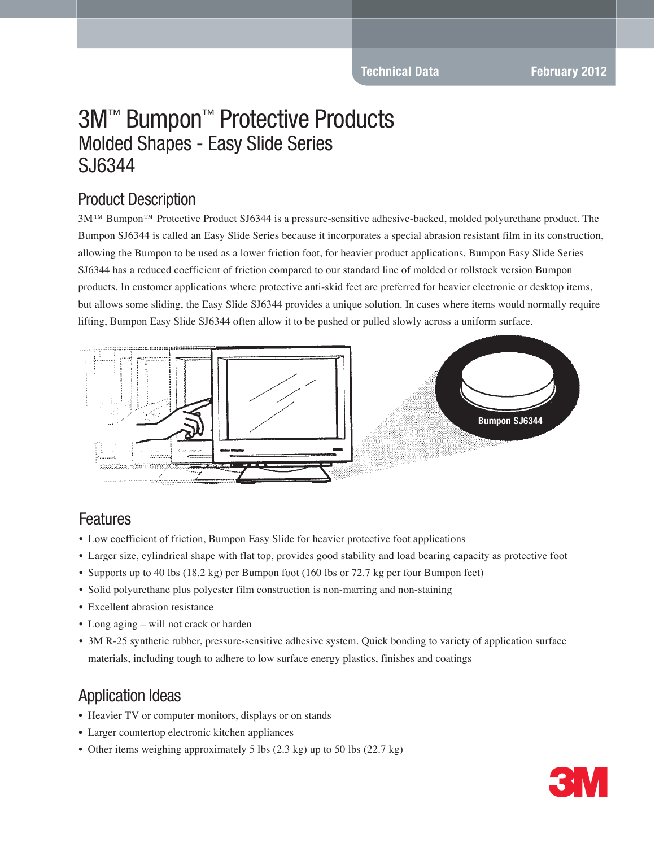**Technical Data February 2012** 

# 3M™ Bumpon™ Protective Products Molded Shapes - Easy Slide Series SJ6344

#### Product Description

3M™ Bumpon™ Protective Product SJ6344 is a pressure-sensitive adhesive-backed, molded polyurethane product. The Bumpon SJ6344 is called an Easy Slide Series because it incorporates a special abrasion resistant film in its construction, allowing the Bumpon to be used as a lower friction foot, for heavier product applications. Bumpon Easy Slide Series SJ6344 has a reduced coefficient of friction compared to our standard line of molded or rollstock version Bumpon products. In customer applications where protective anti-skid feet are preferred for heavier electronic or desktop items, but allows some sliding, the Easy Slide SJ6344 provides a unique solution. In cases where items would normally require lifting, Bumpon Easy Slide SJ6344 often allow it to be pushed or pulled slowly across a uniform surface.



#### Features

- Low coefficient of friction, Bumpon Easy Slide for heavier protective foot applications
- Larger size, cylindrical shape with flat top, provides good stability and load bearing capacity as protective foot
- Supports up to 40 lbs (18.2 kg) per Bumpon foot (160 lbs or 72.7 kg per four Bumpon feet)
- Solid polyurethane plus polyester film construction is non-marring and non-staining
- Excellent abrasion resistance
- Long aging will not crack or harden
- 3M R-25 synthetic rubber, pressure-sensitive adhesive system. Quick bonding to variety of application surface materials, including tough to adhere to low surface energy plastics, finishes and coatings

## Application Ideas

- Heavier TV or computer monitors, displays or on stands
- Larger countertop electronic kitchen appliances
- Other items weighing approximately 5 lbs  $(2.3 \text{ kg})$  up to 50 lbs  $(22.7 \text{ kg})$

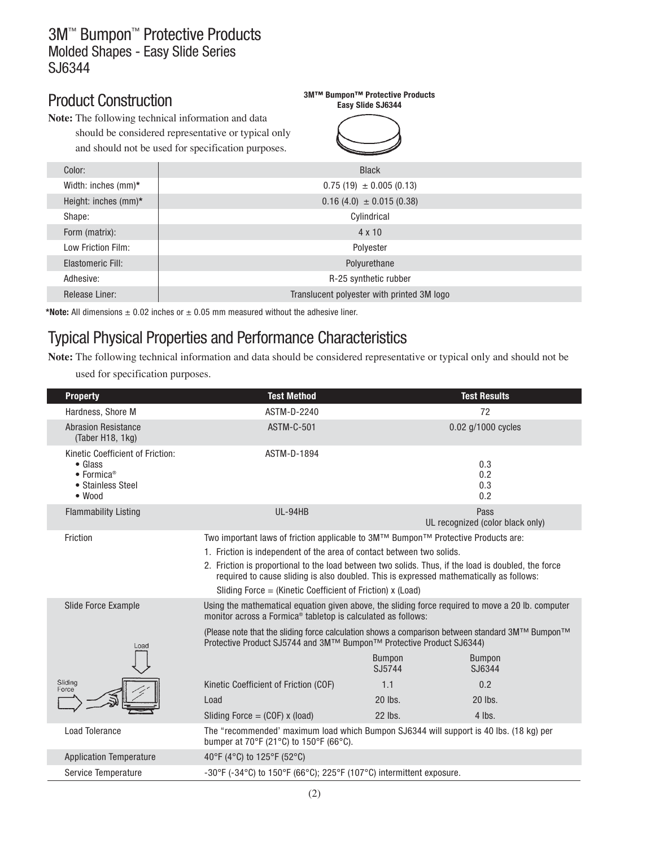## Product Construction

**Note:** The following technical information and data

should be considered representative or typical only and should not be used for specification purposes.

# **Easy Slide SJ6344**

**3M™ Bumpon™ Protective Products**

| Color:               | <b>Black</b>                               |
|----------------------|--------------------------------------------|
| Width: inches (mm)*  | $0.75(19) \pm 0.005(0.13)$                 |
| Height: inches (mm)* | $0.16(4.0) \pm 0.015(0.38)$                |
| Shape:               | Cylindrical                                |
| Form (matrix):       | $4 \times 10$                              |
| Low Friction Film:   | Polyester                                  |
| Elastomeric Fill:    | Polyurethane                               |
| Adhesive:            | R-25 synthetic rubber                      |
| Release Liner:       | Translucent polyester with printed 3M logo |
|                      |                                            |

\*Note: All dimensions  $\pm$  0.02 inches or  $\pm$  0.05 mm measured without the adhesive liner.

## Typical Physical Properties and Performance Characteristics

**Note:** The following technical information and data should be considered representative or typical only and should not be

used for specification purposes.

| <b>Property</b>                                                                                                              | <b>Test Method</b>                                                                                                                                                                                                                                                                                                                                                                                                           |                         | <b>Test Results</b>                      |
|------------------------------------------------------------------------------------------------------------------------------|------------------------------------------------------------------------------------------------------------------------------------------------------------------------------------------------------------------------------------------------------------------------------------------------------------------------------------------------------------------------------------------------------------------------------|-------------------------|------------------------------------------|
| Hardness, Shore M                                                                                                            | ASTM-D-2240                                                                                                                                                                                                                                                                                                                                                                                                                  |                         | 72                                       |
| <b>Abrasion Resistance</b><br>(Taber H18, 1kg)                                                                               | <b>ASTM-C-501</b>                                                                                                                                                                                                                                                                                                                                                                                                            |                         | 0.02 g/1000 cycles                       |
| Kinetic Coefficient of Friction:<br>$\bullet$ Glass<br>$\bullet$ Formica <sup>®</sup><br>• Stainless Steel<br>$\bullet$ Wood | ASTM-D-1894                                                                                                                                                                                                                                                                                                                                                                                                                  |                         | 0.3<br>0.2<br>0.3<br>0.2                 |
| <b>Flammability Listing</b>                                                                                                  | UL-94HB                                                                                                                                                                                                                                                                                                                                                                                                                      |                         | Pass<br>UL recognized (color black only) |
| Friction                                                                                                                     | Two important laws of friction applicable to 3M™ Bumpon™ Protective Products are:<br>1. Friction is independent of the area of contact between two solids.<br>2. Friction is proportional to the load between two solids. Thus, if the load is doubled, the force<br>required to cause sliding is also doubled. This is expressed mathematically as follows:<br>Sliding Force = (Kinetic Coefficient of Friction) $x$ (Load) |                         |                                          |
| <b>Slide Force Example</b>                                                                                                   | Using the mathematical equation given above, the sliding force required to move a 20 lb. computer<br>monitor across a Formica <sup>®</sup> tabletop is calculated as follows:                                                                                                                                                                                                                                                |                         |                                          |
| Load                                                                                                                         | (Please note that the sliding force calculation shows a comparison between standard $3M^{TM}$ Bumpon <sup>TM</sup><br>Protective Product SJ5744 and 3M™ Bumpon™ Protective Product SJ6344)                                                                                                                                                                                                                                   |                         |                                          |
|                                                                                                                              |                                                                                                                                                                                                                                                                                                                                                                                                                              | <b>Bumpon</b><br>SJ5744 | <b>Bumpon</b><br>SJ6344                  |
| Sliding<br>Force                                                                                                             | Kinetic Coefficient of Friction (COF)                                                                                                                                                                                                                                                                                                                                                                                        | 1.1                     | 0.2                                      |
|                                                                                                                              | Load                                                                                                                                                                                                                                                                                                                                                                                                                         | 20 lbs.                 | 20 lbs.                                  |
|                                                                                                                              | Sliding Force $=$ (COF) x (load)                                                                                                                                                                                                                                                                                                                                                                                             | 22 lbs.                 | $4$ lbs.                                 |
| <b>Load Tolerance</b>                                                                                                        | The "recommended' maximum load which Bumpon SJ6344 will support is 40 lbs. (18 kg) per<br>bumper at 70°F (21°C) to 150°F (66°C).                                                                                                                                                                                                                                                                                             |                         |                                          |
| <b>Application Temperature</b>                                                                                               | 40°F (4°C) to 125°F (52°C)                                                                                                                                                                                                                                                                                                                                                                                                   |                         |                                          |
| Service Temperature                                                                                                          | $-30^{\circ}$ F ( $-34^{\circ}$ C) to 150 $^{\circ}$ F (66 $^{\circ}$ C); 225 $^{\circ}$ F (107 $^{\circ}$ C) intermittent exposure.                                                                                                                                                                                                                                                                                         |                         |                                          |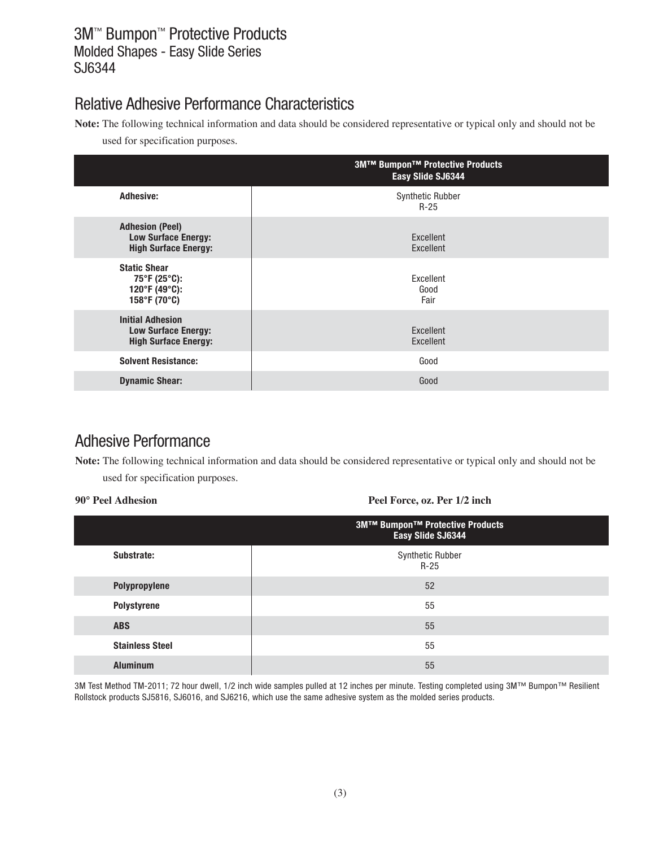## Relative Adhesive Performance Characteristics

**Note:** The following technical information and data should be considered representative or typical only and should not be

used for specification purposes.

|                                                                                           | <b>3M™ Bumpon™ Protective Products</b><br>Easy Slide SJ6344 |
|-------------------------------------------------------------------------------------------|-------------------------------------------------------------|
| <b>Adhesive:</b>                                                                          | <b>Synthetic Rubber</b><br>$R-25$                           |
| <b>Adhesion (Peel)</b><br><b>Low Surface Energy:</b><br><b>High Surface Energy:</b>       | Excellent<br>Excellent                                      |
| <b>Static Shear</b><br>$75^{\circ}$ F (25 $^{\circ}$ C):<br>120°F (49°C):<br>158°F (70°C) | Excellent<br>Good<br>Fair                                   |
| <b>Initial Adhesion</b><br><b>Low Surface Energy:</b><br><b>High Surface Energy:</b>      | Excellent<br>Excellent                                      |
| <b>Solvent Resistance:</b>                                                                | Good                                                        |
| <b>Dynamic Shear:</b>                                                                     | Good                                                        |

## Adhesive Performance

**Note:** The following technical information and data should be considered representative or typical only and should not be used for specification purposes.

**90° Peel Adhesion Peel Force, oz. Per 1/2 inch**

|                        | $\overline{\phantom{a}}$                                    |  |  |
|------------------------|-------------------------------------------------------------|--|--|
|                        | <b>3M™ Bumpon™ Protective Products</b><br>Easy Slide SJ6344 |  |  |
| Substrate:             | Synthetic Rubber<br>$R-25$                                  |  |  |
| Polypropylene          | 52                                                          |  |  |
| Polystyrene            | 55                                                          |  |  |
| <b>ABS</b>             | 55                                                          |  |  |
| <b>Stainless Steel</b> | 55                                                          |  |  |
| <b>Aluminum</b>        | 55                                                          |  |  |

3M Test Method TM-2011; 72 hour dwell, 1/2 inch wide samples pulled at 12 inches per minute. Testing completed using 3M™ Bumpon™ Resilient Rollstock products SJ5816, SJ6016, and SJ6216, which use the same adhesive system as the molded series products.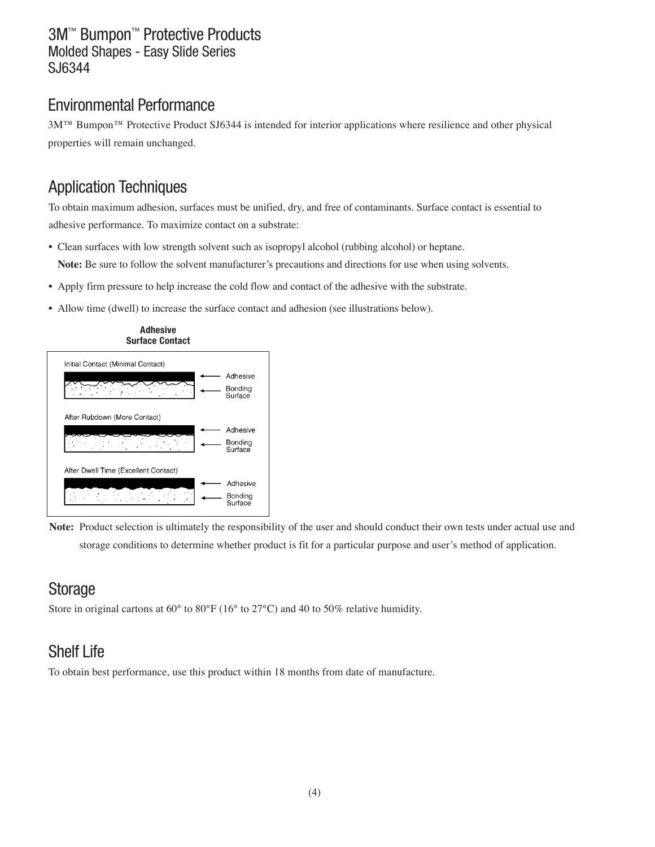#### Environmental Performance

3M™ Bumpon™ Protective Product SJ6344 is intended for interior applications where resilience and other physical properties will remain unchanged.

## Application Techniques

To obtain maximum adhesion, surfaces must be unified, dry, and free of contaminants. Surface contact is essential to adhesive performance. To maximize contact on a substrate:

- Clean surfaces with low strength solvent such as isopropyl alcohol (rubbing alcohol) or heptane. **Note:** Be sure to follow the solvent manufacturer's precautions and directions for use when using solvents.
- Apply firm pressure to help increase the cold flow and contact of the adhesive with the substrate.
- Allow time (dwell) to increase the surface contact and adhesion (see illustrations below).



**Note:** Product selection is ultimately the responsibility of the user and should conduct their own tests under actual use and storage conditions to determine whether product is fit for a particular purpose and user's method of application.

## **Storage**

Store in original cartons at 60° to 80°F (16° to 27°C) and 40 to 50% relative humidity.

## Shelf Life

To obtain best performance, use this product within 18 months from date of manufacture.